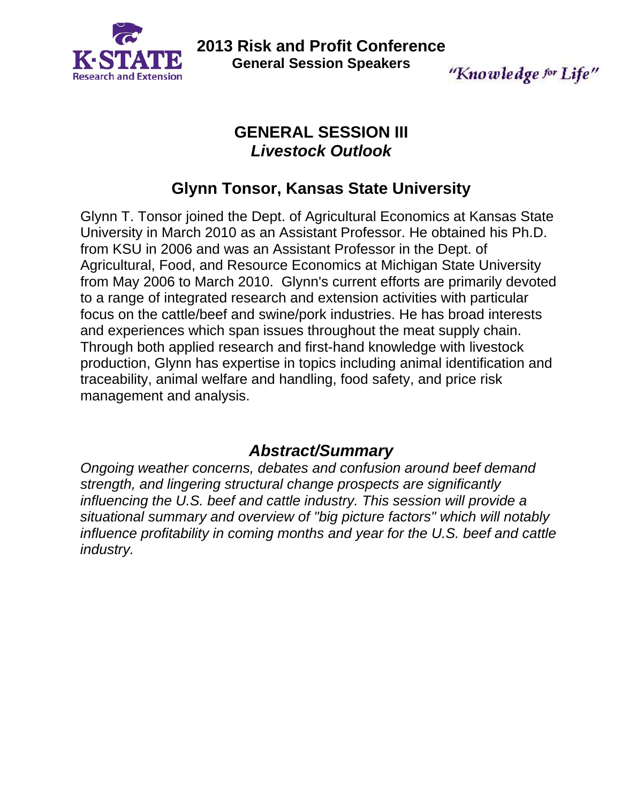

**2013 Risk and Profit Conference General Session Speakers** 

"Knowledge for Life"

## **GENERAL SESSION III**  *Livestock Outlook*

# **Glynn Tonsor, Kansas State University**

Glynn T. Tonsor joined the Dept. of Agricultural Economics at Kansas State University in March 2010 as an Assistant Professor. He obtained his Ph.D. from KSU in 2006 and was an Assistant Professor in the Dept. of Agricultural, Food, and Resource Economics at Michigan State University from May 2006 to March 2010. Glynn's current efforts are primarily devoted to a range of integrated research and extension activities with particular focus on the cattle/beef and swine/pork industries. He has broad interests and experiences which span issues throughout the meat supply chain. Through both applied research and first-hand knowledge with livestock production, Glynn has expertise in topics including animal identification and traceability, animal welfare and handling, food safety, and price risk management and analysis.

# *Abstract/Summary*

*Ongoing weather concerns, debates and confusion around beef demand strength, and lingering structural change prospects are significantly influencing the U.S. beef and cattle industry. This session will provide a situational summary and overview of "big picture factors" which will notably influence profitability in coming months and year for the U.S. beef and cattle industry.*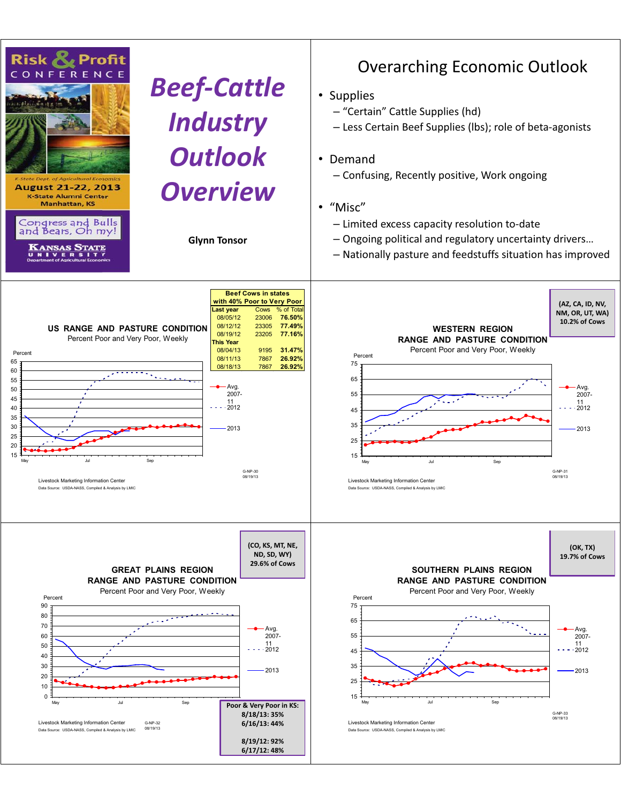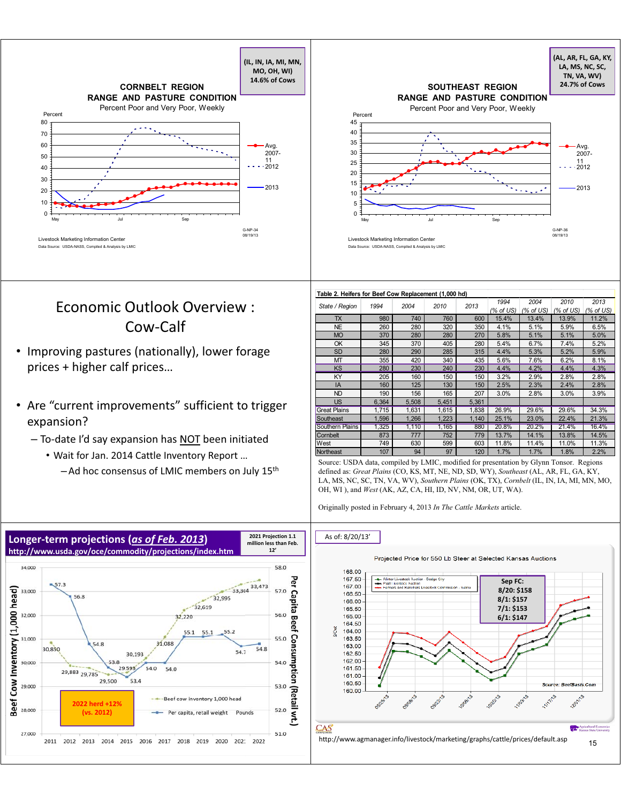

## Economic Outlook Overview : Cow-Calf

- Improving pastures (nationally), lower forage prices + higher calf prices…
- Are "current improvements" sufficient to trigger expansion?
	- To-date I'd say expansion has NOT been initiated
		- Wait for Jan. 2014 Cattle Inventory Report …
			-

|                 |                                        | <b>SOUTHEAST REGION</b>            | (AL, AR, FL, GA, KY,<br>LA, MS, NC, SC,<br>TN, VA, WV)<br>24.7% of Cows |
|-----------------|----------------------------------------|------------------------------------|-------------------------------------------------------------------------|
|                 | <b>RANGE AND PASTURE CONDITION</b>     |                                    |                                                                         |
| Percent         |                                        | Percent Poor and Very Poor, Weekly |                                                                         |
| 45              |                                        |                                    |                                                                         |
| 40              |                                        |                                    |                                                                         |
|                 |                                        |                                    | Avg.                                                                    |
|                 |                                        |                                    | 2007-                                                                   |
|                 |                                        |                                    | 11<br>2012                                                              |
| 20              |                                        |                                    |                                                                         |
| 15              |                                        |                                    | 2013                                                                    |
| 10              |                                        |                                    |                                                                         |
| 5               |                                        |                                    |                                                                         |
| $\Omega$<br>May | Jul                                    | Sep                                |                                                                         |
|                 |                                        |                                    | G-NP-36                                                                 |
|                 | Livestock Marketing Information Center |                                    | 08/19/13                                                                |

#### **Table 2. Heifers for Beef Cow Replacement (1,000 hd)**

| State / Region         | 1994  | 2004  | 2010  | 2013  | 1994<br>(% of US) | 2004<br>(% of US) | 2010<br>(% of US) | 2013<br>(% of US) |
|------------------------|-------|-------|-------|-------|-------------------|-------------------|-------------------|-------------------|
| <b>TX</b>              | 980   | 740   | 760   | 600   | 15.4%             | 13.4%             | 13.9%             | 11.2%             |
| <b>NE</b>              | 260   | 280   | 320   | 350   | 4.1%              | 5.1%              | 5.9%              | 6.5%              |
| <b>MO</b>              | 370   | 280   | 280   | 270   | 5.8%              | 5.1%              | 5.1%              | 5.0%              |
| OK                     | 345   | 370   | 405   | 280   | 5.4%              | 6.7%              | 7.4%              | 5.2%              |
| <b>SD</b>              | 280   | 290   | 285   | 315   | 4.4%              | 5.3%              | 5.2%              | 5.9%              |
| MT                     | 355   | 420   | 340   | 435   | 5.6%              | 7.6%              | 6.2%              | 8.1%              |
| <b>KS</b>              | 280   | 230   | 240   | 230   | 4.4%              | 4.2%              | 4.4%              | 4.3%              |
| KY                     | 205   | 160   | 150   | 150   | 3.2%              | 2.9%              | 2.8%              | 2.8%              |
| IA                     | 160   | 125   | 130   | 150   | 2.5%              | 2.3%              | 2.4%              | 2.8%              |
| <b>ND</b>              | 190   | 156   | 165   | 207   | 3.0%              | 2.8%              | 3.0%              | 3.9%              |
| <b>US</b>              | 6,364 | 5,508 | 5,451 | 5,361 |                   |                   |                   |                   |
| <b>Great Plains</b>    | 1,715 | 1,631 | 1,615 | 1,838 | 26.9%             | 29.6%             | 29.6%             | 34.3%             |
| Southeast              | 1,596 | 1,266 | 1,223 | 1,140 | 25.1%             | 23.0%             | 22.4%             | 21.3%             |
| <b>Southern Plains</b> | 1,325 | 1.110 | 1,165 | 880   | 20.8%             | 20.2%             | 21.4%             | 16.4%             |
| Cornbelt               | 873   | 777   | 752   | 779   | 13.7%             | 14.1%             | 13.8%             | 14.5%             |
| West                   | 749   | 630   | 599   | 603   | 11.8%             | 11.4%             | 11.0%             | 11.3%             |
| Northeast              | 107   | 94    | 97    | 120   | 1.7%              | 1.7%              | 1.8%              | 2.2%              |

Source: USDA data, compiled by LMIC, modified for presentation by Glynn Tonsor. Regions<br>— Ad hoc consensus of LMIC members on July 15<sup>th</sup> defined as: *Great Plains* (CO, KS, MT, NE, ND, SD, WY), *Southeast* (AL, AR, FL, GA LA, MS, NC, SC, TN, VA, WV), *Southern Plains* (OK, TX), *Cornbelt* (IL, IN, IA, MI, MN, MO, OH, WI ), and *West* (AK, AZ, CA, HI, ID, NV, NM, OR, UT, WA).

Originally posted in February 4, 2013 *In The Cattle Markets* article.



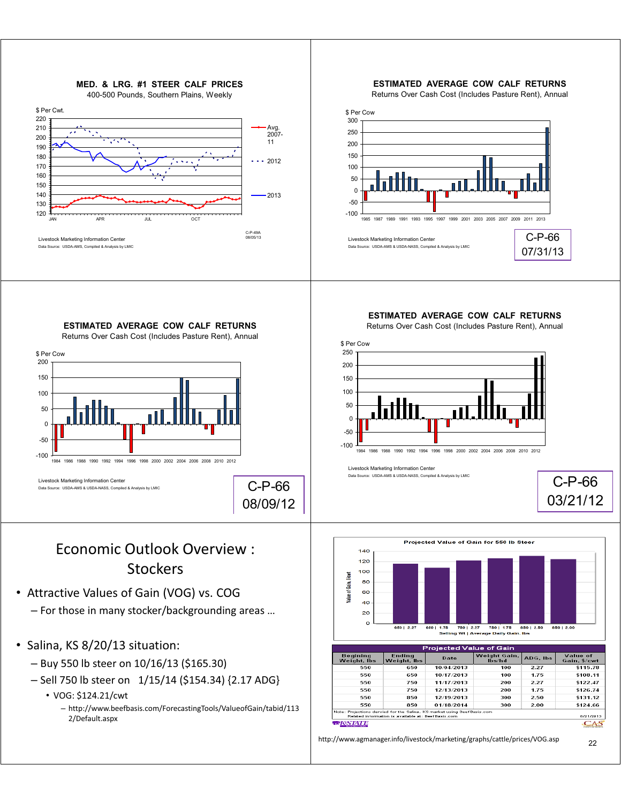

– http://www.beefbasis.com/ForecastingTools/ValueofGain/tabid/113 2/Default.aspx

<sup>22</sup> http://www.agmanager.info/livestock/marketing/graphs/cattle/prices/VOG.asp

for the Salina, KS market using BeefB.<br>is available at: BeefBasis.com

 $\frac{1}{2}$ 

*EXSTATE* 

ojection*s* dervi<br>Iated informat

d for the Salina

<u>CAS</u>

C-P-66 03/21/12

850 | 2.00

Value of

 $\frac{1}{15.78}$ 

 $$108.11$ 

\$122.47

\$126.74

\$131.12

\$124.66

8/21/2013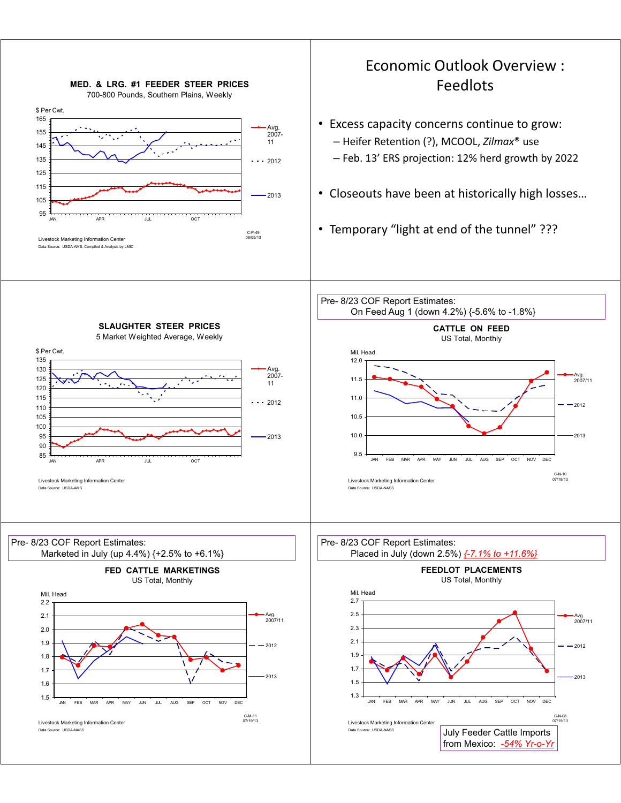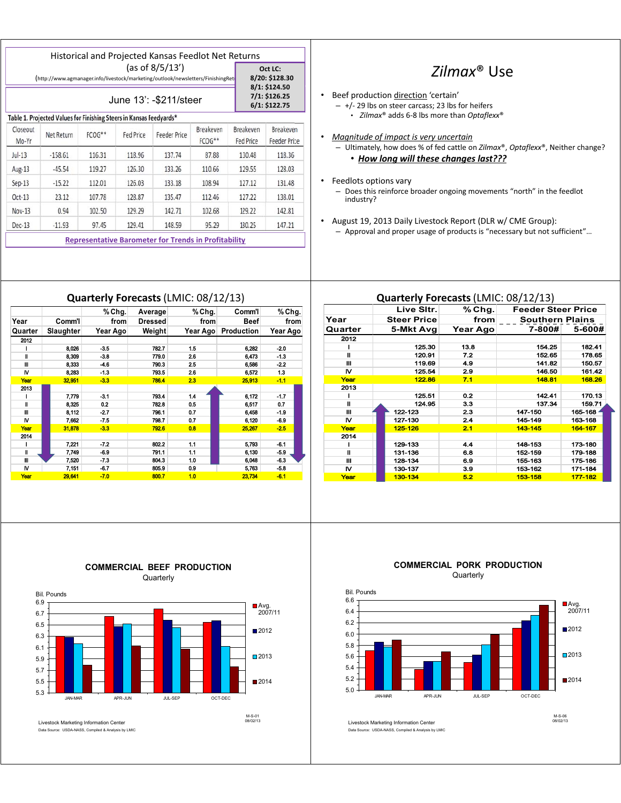|                                                                                                    |            |        |           | <b>Historical and Projected Kansas Feedlot Net Returns</b>  |                     |                               |                                            |  |
|----------------------------------------------------------------------------------------------------|------------|--------|-----------|-------------------------------------------------------------|---------------------|-------------------------------|--------------------------------------------|--|
| (as of 8/5/13')<br>(http://www.agmanager.info/livestock/marketing/outlook/newsletters/FinishingRet |            |        |           |                                                             |                     |                               | Oct LC:<br>8/20: \$128.30<br>8/1: \$124.50 |  |
| June 13': - \$211/steer                                                                            |            |        |           |                                                             |                     |                               | 7/1: \$126.25<br>6/1: \$122.75             |  |
| Table 1. Projected Values for Finishing Steers in Kansas Feedyards*                                |            |        |           |                                                             |                     |                               |                                            |  |
| Closeout<br>Mo-Yr                                                                                  | Net Return | FCOG** | Fed Price | Feeder Price                                                | Breakeven<br>FCOG** | Breakeven<br><b>Fed Price</b> | Breakeven<br><b>Feeder Price</b>           |  |
| $Jul-13$                                                                                           | $-158.61$  | 116.31 | 118.96    | 137.74                                                      | 87.88               | 130.48                        | 118.36                                     |  |
| Aug-13                                                                                             | $-45.54$   | 119.27 | 126.30    | 133.26                                                      | 110.66              | 129.55                        | 128.03                                     |  |
| $Sep-13$                                                                                           | $-15.22$   | 112.01 | 126.03    | 133.18                                                      | 108.94              | 127.12                        | 131.48                                     |  |
| $Oct-13$                                                                                           | 23.12      | 107.78 | 128.87    | 135.47                                                      | 112.46              | 127.22                        | 138.01                                     |  |
| Nov-13                                                                                             | 0.94       | 102.50 | 129.29    | 142.71                                                      | 102.68              | 129.22                        | 142.81                                     |  |
| $Dec-13$                                                                                           | $-11.93$   | 97.45  | 129.41    | 148.59                                                      | 95.29               | 130.25                        | 147.21                                     |  |
|                                                                                                    |            |        |           | <b>Representative Barometer for Trends in Profitability</b> |                     |                               |                                            |  |

## *Zilmax*® Use

- Beef production direction 'certain'
	- +/- 29 lbs on steer carcass; 23 lbs for heifers • *Zilmax*® adds 6-8 lbs more than *Optaflexx*®
- *Magnitude of impact is very uncertain*  – Ultimately, how does % of fed cattle on *Zilmax*®, *Optaflexx*®, Neither change? • *How long will these changes last???*
- Feedlots options vary – Does this reinforce broader ongoing movements "north" in the feedlot industry?
- August 19, 2013 Daily Livestock Report (DLR w/ CME Group): – Approval and proper usage of products is "necessary but not sufficient"…

### **Quarterly Forecasts**(LMIC: 08/12/13)

|         |                  | %Chg.    | Average | % Chg.   | Comm'l      | %Chg.    |
|---------|------------------|----------|---------|----------|-------------|----------|
| Year    | Comm'l           | from     | Dressed | from     | <b>Beef</b> | from     |
| Quarter | <b>Slaughter</b> | Year Ago | Weight  | Year Ago | Production  | Year Ago |
| 2012    |                  |          |         |          |             |          |
|         | 8,026            | $-3.5$   | 782.7   | 1.5      | 6,282       | $-2.0$   |
| H       | 8,309            | $-3.8$   | 779.0   | 2.6      | 6.473       | $-1.3$   |
| Ш       | 8,333            | $-4.6$   | 790.3   | 2.5      | 6,586       | $-2.2$   |
| M       | 8,283            | $-1.3$   | 793.5   | 2.6      | 6,572       | 1.3      |
| Year    | 32,951           | $-3.3$   | 786.4   | 23       | 25,913      | $-1.1$   |
| 2013    |                  |          |         |          |             |          |
|         | 7,779            | $-3.1$   | 793.4   | 1.4      | 6,172       | $-1.7$   |
| H       | 8,325            | 0.2      | 782.8   | 0.5      | 6,517       | 0.7      |
| Ш       | 8,112            | $-2.7$   | 796.1   | 0.7      | 6,458       | $-1.9$   |
| N       | 7,662            | $-7.5$   | 798.7   | 0.7      | 6,120       | $-6.9$   |
| Year    | 31,878           | $-3.3$   | 792.6   | 0.8      | 25,267      | $-2.5$   |
| 2014    |                  |          |         |          |             |          |
|         | 7,221            | $-7.2$   | 802.2   | 1.1      | 5,793       | $-6.1$   |
| II      | 7,749            | $-6.9$   | 791.1   | 1.1      | 6,130       | $-5.9$   |
| Ш       | 7,520            | $-7.3$   | 804.3   | 1.0      | 6,048       | $-6.3$   |
| N       | 7,151            | $-6.7$   | 805.9   | 0.9      | 5,763       | $-5.8$   |
| Year    | 29,641           | $-7.0$   | 800.7   | 1.0      | 23,734      | $-6.1$   |

#### **Quarterly Forecasts**(LMIC: 08/12/13)

|         | Live Sitr.  | % Chg.   | <b>Feeder Steer Price</b> |               |
|---------|-------------|----------|---------------------------|---------------|
| Year    | Steer Price | from     | <b>Southern Plains</b>    |               |
| Quarter | 5-Mkt Avg   | Year Ago |                           | 7-800# 5-600# |
| 2012    |             |          |                           |               |
|         | 125.30      | 13.8     | 154.25                    | 182.41        |
| Ш       | 120.91      | 7.2      | 152.65                    | 178.65        |
| Ш       | 119.69      | 4.9      | 141.82                    | 150.57        |
| M       | 125.54      | 2.9      | 146.50                    | 161.42        |
| Year    | 122.86      | 7.1      | 148.81                    | 168.26        |
| 2013    |             |          |                           |               |
|         | 125.51      | 0.2      | 142.41                    | 170.13        |
| ш       | 124.95      | 3.3      | 137.34                    | 159.71        |
| Ш       | 122-123     | 2.3      | 147-150                   | 165-168       |
| M       | 127-130     | 2.4      | 145-149                   | 163-168       |
| Year    | 125-126     | 2.1      | 143-145                   | 164-167       |
| 2014    |             |          |                           |               |
|         | 129-133     | 4.4      | 148-153                   | 173-180       |
| Ш       | 131-136     | 6.8      | 152-159                   | 179-188       |
| Ш       | 128-134     | 6.9      | 155-163                   | 175-186       |
| M       | 130-137     | 3.9      | 153-162                   | 171-184       |
| Year    | 130-134     | 5.2      | 153-158                   | 177-182       |





#### **COMMERCIAL PORK PRODUCTION Quarterly**



Livestock Marketing Information Center Data Source: USDA-NASS, Compiled & Analysis by LMIC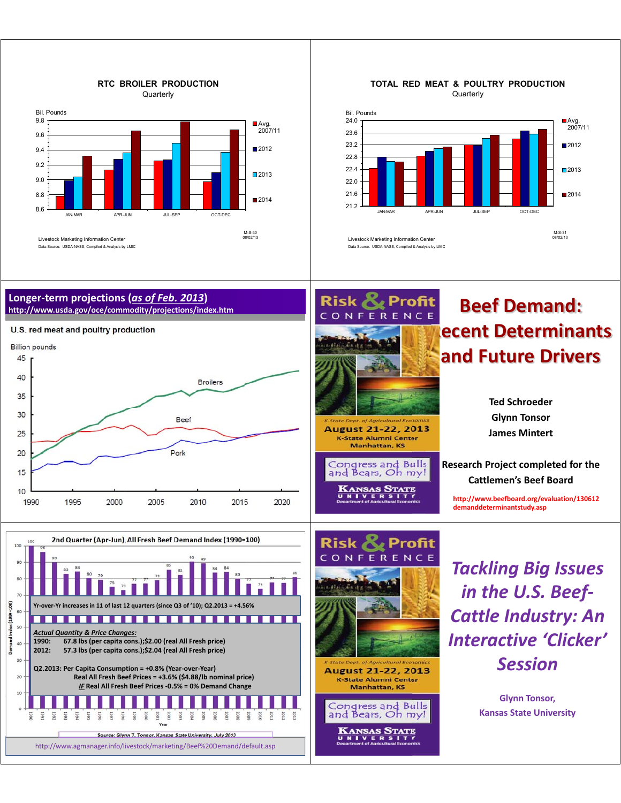

#### **TOTAL RED MEAT & POULTRY PRODUCTION Quarterly**



#### **Longer-term projections (***as of Feb. 2013***) http://www.usda.gov/oce/commodity/projections/index.htm**









CONF

**Profit** 

ERENCE

August 21-22, 2013

K-State Alumni Center Manhattan, KS

Congress and Bulls and Bears, Oh my!

KANSAS STATE

# **Beef Demand: Recent Determinants and Future Drivers**

**Ted Schroeder Glynn Tonsor James Mintert** 

**Research Project completed for the Cattlemen's Beef Board**

**http://www.beefboard.org/evaluation/130612 demanddeterminantstudy.asp**

*Tackling Big Issues in the U.S. Beef-Cattle Industry: An Interactive 'Clicker' Session*

> **Glynn Tonsor, Kansas State University**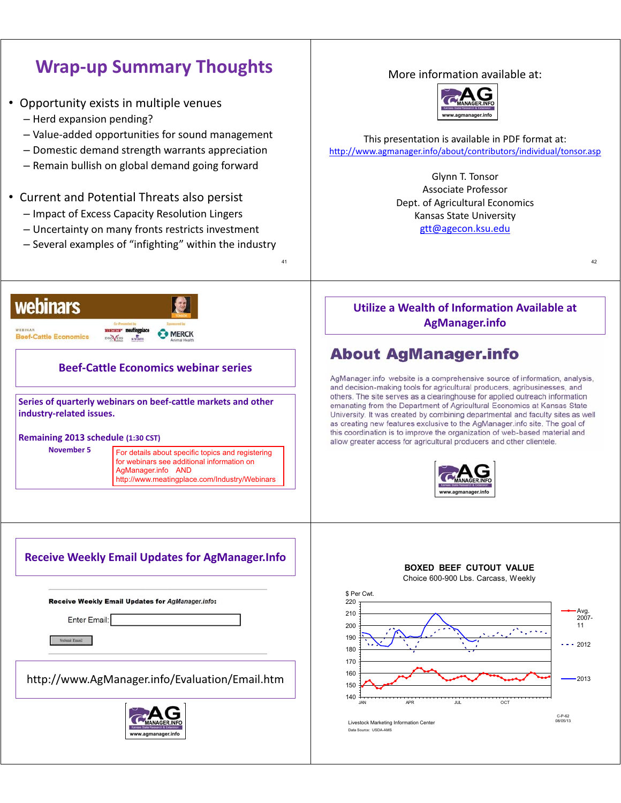# **Wrap-up Summary Thoughts**

- Opportunity exists in multiple venues
	- Herd expansion pending?
	- Value-added opportunities for sound management
	- Domestic demand strength warrants appreciation
	- Remain bullish on global demand going forward
- Current and Potential Threats also persist
	- Impact of Excess Capacity Resolution Lingers
	- Uncertainty on many fronts restricts investment
	- Several examples of "infighting" within the industry



## **Beef-Cattle Economics webinar series**

**Series of quarterly webinars on beef-cattle markets and other industry-related issues.**

#### **Remaining 2013 schedule (1:30 CST)**

**November 5** For details about specific topics and registering for webinars see additional information on AgManager.info AND http://www.meatingplace.com/Industry/Webinars

41

## **Receive Weekly Email Updates for AgManager.Info**

Receive Weekly Email Updates for AgManager.info:

Enter Email:

Submit Email

http://www.AgManager.info/Evaluation/Email.htm



### More information available at:



This presentation is available in PDF format at: http://www.agmanager.info/about/contributors/individual/tonsor.asp

> Glynn T. Tonsor Associate Professor Dept. of Agricultural Economics Kansas State University gtt@agecon.ksu.edu

**Utilize a Wealth of Information Available at AgManager.info**

42

## **About AgManager.info**

AgManager.info website is a comprehensive source of information, analysis, and decision-making tools for agricultural producers, agribusinesses, and others. The site serves as a clearinghouse for applied outreach information emanating from the Department of Agricultural Economics at Kansas State University. It was created by combining departmental and faculty sites as well as creating new features exclusive to the AgManager.info site. The goal of this coordination is to improve the organization of web-based material and allow greater access for agricultural producers and other clientele.



#### **BOXED BEEF CUTOUT VALUE**

Choice 600-900 Lbs. Carcass, Weekly